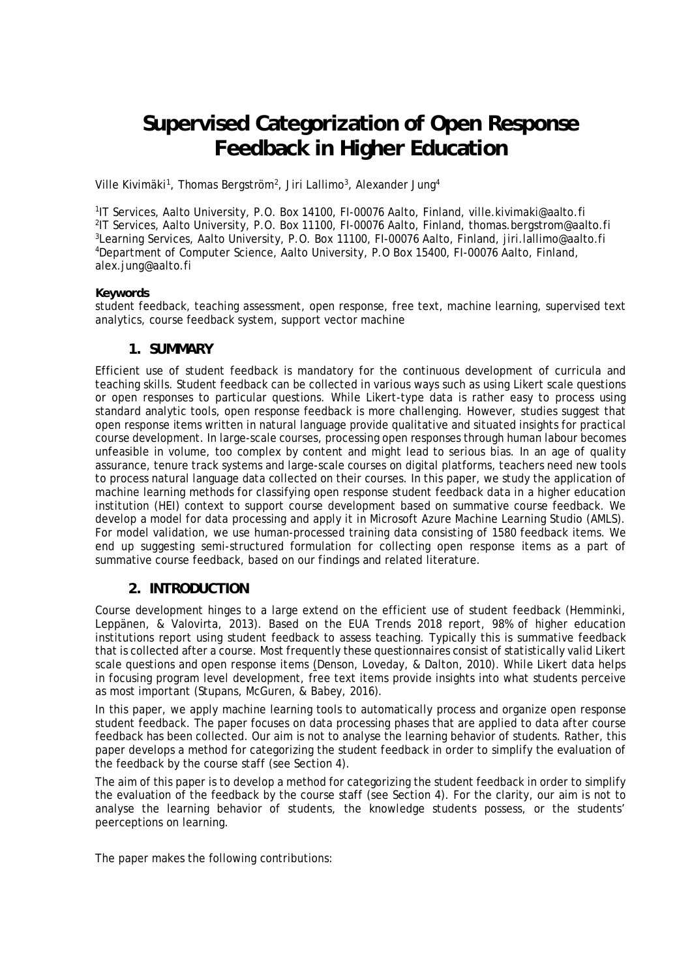# **Supervised Categorization of Open Response Feedback in Higher Education**

Ville Kivimäki<sup>1</sup>, Thomas Bergström<sup>2</sup>, Jiri Lallimo<sup>3</sup>, Alexander Jung<sup>4</sup>

<sup>1</sup>IT Services, Aalto University, P.O. Box 14100, FI-00076 Aalto, Finland, ville.kivimaki@aalto.fi <sup>2</sup>IT Services, Aalto University, P.O. Box 11100, FI-00076 Aalto, Finland, thomas.bergstrom@aalto.fi <sup>3</sup>Learning Services, Aalto University, P.O. Box 11100, FI-00076 Aalto, Finland, jiri.lallimo@aalto.fi <sup>4</sup>Department of Computer Science, Aalto University, P.O Box 15400, FI-00076 Aalto, Finland, alex.jung@aalto.fi

#### **Keywords**

student feedback, teaching assessment, open response, free text, machine learning, supervised text analytics, course feedback system, support vector machine

### **1. SUMMARY**

Efficient use of student feedback is mandatory for the continuous development of curricula and teaching skills. Student feedback can be collected in various ways such as using Likert scale questions or open responses to particular questions. While Likert-type data is rather easy to process using standard analytic tools, open response feedback is more challenging. However, studies suggest that open response items written in natural language provide qualitative and situated insights for practical course development. In large-scale courses, processing open responses through human labour becomes unfeasible in volume, too complex by content and might lead to serious bias. In an age of quality assurance, tenure track systems and large-scale courses on digital platforms, teachers need new tools to process natural language data collected on their courses. In this paper, we study the application of machine learning methods for classifying open response student feedback data in a higher education institution (HEI) context to support course development based on summative course feedback. We develop a model for data processing and apply it in Microsoft Azure Machine Learning Studio (AMLS). For model validation, we use human-processed training data consisting of 1580 feedback items. We end up suggesting semi-structured formulation for collecting open response items as a part of summative course feedback, based on our findings and related literature.

## **2. INTRODUCTION**

Course development hinges to a large extend on the efficient use of student feedback (Hemminki, Leppänen, & Valovirta, 2013). Based on the EUA Trends 2018 report, 98% of higher education institutions report using student feedback to assess teaching. Typically this is summative feedback that is collected after a course. Most frequently these questionnaires consist of statistically valid Likert scale questions and open response items (Denson, Loveday, & Dalton, 2010). While Likert data helps in focusing program level development, free text items provide insights into what students perceive as most important (Stupans, McGuren, & Babey, 2016).

In this paper, we apply machine learning tools to automatically process and organize open response student feedback. The paper focuses on data processing phases that are applied to data after course feedback has been collected. Our aim is not to analyse the learning behavior of students. Rather, this paper develops a method for categorizing the student feedback in order to simplify the evaluation of the feedback by the course staff (see Section 4).

The aim of this paper is to develop a method for categorizing the student feedback in order to simplify the evaluation of the feedback by the course staff (see Section 4). For the clarity, our aim is not to analyse the learning behavior of students, the knowledge students possess, or the students' peerceptions on learning.

The paper makes the following contributions: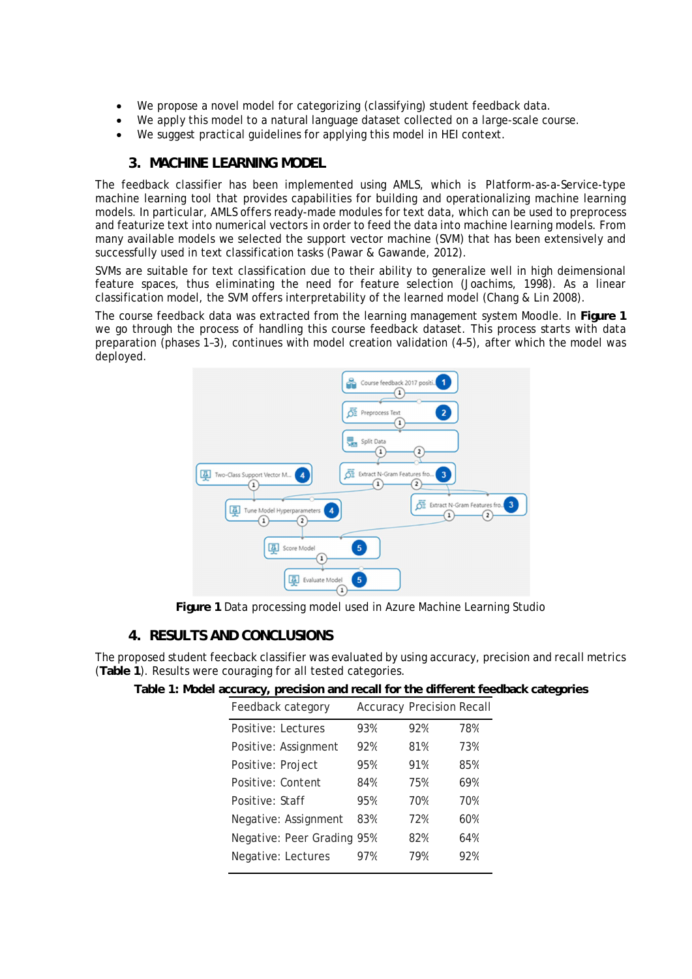- We propose a novel model for categorizing (classifying) student feedback data.
- We apply this model to a natural language dataset collected on a large-scale course.
- We suggest practical guidelines for applying this model in HEI context.

## **3. MACHINE LEARNING MODEL**

The feedback classifier has been implemented using AMLS, which is Platform-as-a-Service-type machine learning tool that provides capabilities for building and operationalizing machine learning models. In particular, AMLS offers ready-made modules for text data, which can be used to preprocess and featurize text into numerical vectors in order to feed the data into machine learning models. From many available models we selected the support vector machine (SVM) that has been extensively and successfully used in text classification tasks (Pawar & Gawande, 2012).

SVMs are suitable for text classification due to their ability to generalize well in high deimensional feature spaces, thus eliminating the need for feature selection (Joachims, 1998). As a linear classification model, the SVM offers interpretability of the learned model (Chang & Lin 2008).

The course feedback data was extracted from the learning management system Moodle. In **Figure 1** we go through the process of handling this course feedback dataset. This process starts with data preparation (phases 1–3), continues with model creation validation (4–5), after which the model was deployed.



**Figure 1** Data processing model used in Azure Machine Learning Studio

### **4. RESULTS AND CONCLUSIONS**

The proposed student feecback classifier was evaluated by using accuracy, precision and recall metrics (**Table 1**). Results were couraging for all tested categories.

**Table 1: Model accuracy, precision and recall for the different feedback categories**

| 93%                        | 92% | 78%                              |
|----------------------------|-----|----------------------------------|
| 92%                        | 81% | 73%                              |
| 95%                        | 91% | 85%                              |
| 84%                        | 75% | 69%                              |
| 95%                        | 70% | 70%                              |
| 83%                        | 72% | 60%                              |
| Negative: Peer Grading 95% | 82% | 64%                              |
| 97%                        | 79% | 92%                              |
|                            |     | <b>Accuracy Precision Recall</b> |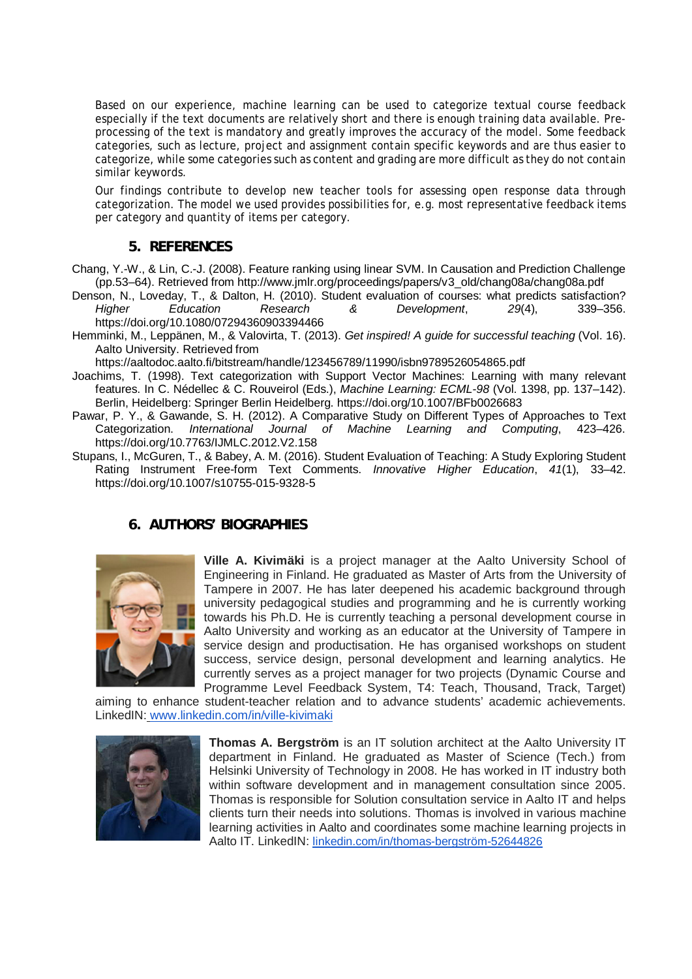Based on our experience, machine learning can be used to categorize textual course feedback especially if the text documents are relatively short and there is enough training data available. Preprocessing of the text is mandatory and greatly improves the accuracy of the model. Some feedback categories, such as lecture, project and assignment contain specific keywords and are thus easier to categorize, while some categories such as content and grading are more difficult as they do not contain similar keywords.

Our findings contribute to develop new teacher tools for assessing open response data through categorization. The model we used provides possibilities for, e.g. most representative feedback items per category and quantity of items per category.

#### **5. REFERENCES**

- Chang, Y.-W., & Lin, C.-J. (2008). Feature ranking using linear SVM. In Causation and Prediction Challenge (pp.53–64). Retrieved from http://www.jmlr.org/proceedings/papers/v3\_old/chang08a/chang08a.pdf
- Denson, N., Loveday, T., & Dalton, H. (2010). Student evaluation of courses: what predicts satisfaction? *Higher Education Research & Development*, *29*(4), 339–356. https://doi.org/10.1080/07294360903394466
- Hemminki, M., Leppänen, M., & Valovirta, T. (2013). *Get inspired! A guide for successful teaching* (Vol. 16). Aalto University. Retrieved from

https://aaltodoc.aalto.fi/bitstream/handle/123456789/11990/isbn9789526054865.pdf

- Joachims, T. (1998). Text categorization with Support Vector Machines: Learning with many relevant features. In C. Nédellec & C. Rouveirol (Eds.), *Machine Learning: ECML-98* (Vol. 1398, pp. 137–142). Berlin, Heidelberg: Springer Berlin Heidelberg. https://doi.org/10.1007/BFb0026683
- Pawar, P. Y., & Gawande, S. H. (2012). A Comparative Study on Different Types of Approaches to Text Categorization. *International Journal of Machine Learning and Computing*, 423–426. https://doi.org/10.7763/IJMLC.2012.V2.158
- Stupans, I., McGuren, T., & Babey, A. M. (2016). Student Evaluation of Teaching: A Study Exploring Student Rating Instrument Free-form Text Comments. *Innovative Higher Education*, *41*(1), 33–42. https://doi.org/10.1007/s10755-015-9328-5

### **6. AUTHORS' BIOGRAPHIES**



**Ville A. Kivimäki** is a project manager at the Aalto University School of Engineering in Finland. He graduated as Master of Arts from the University of Tampere in 2007. He has later deepened his academic background through university pedagogical studies and programming and he is currently working towards his Ph.D. He is currently teaching a personal development course in Aalto University and working as an educator at the University of Tampere in service design and productisation. He has organised workshops on student success, service design, personal development and learning analytics. He currently serves as a project manager for two projects (Dynamic Course and Programme Level Feedback System, T4: Teach, Thousand, Track, Target)

aiming to enhance student-teacher relation and to advance students' academic achievements. LinkedIN: www.linkedin.com/in/ville-kivimaki



**Thomas A. Bergström** is an IT solution architect at the Aalto University IT department in Finland. He graduated as Master of Science (Tech.) from Helsinki University of Technology in 2008. He has worked in IT industry both within software development and in management consultation since 2005. Thomas is responsible for Solution consultation service in Aalto IT and helps clients turn their needs into solutions. Thomas is involved in various machine learning activities in Aalto and coordinates some machine learning projects in Aalto IT. LinkedIN: linkedin.com/in/thomas-bergström-52644826